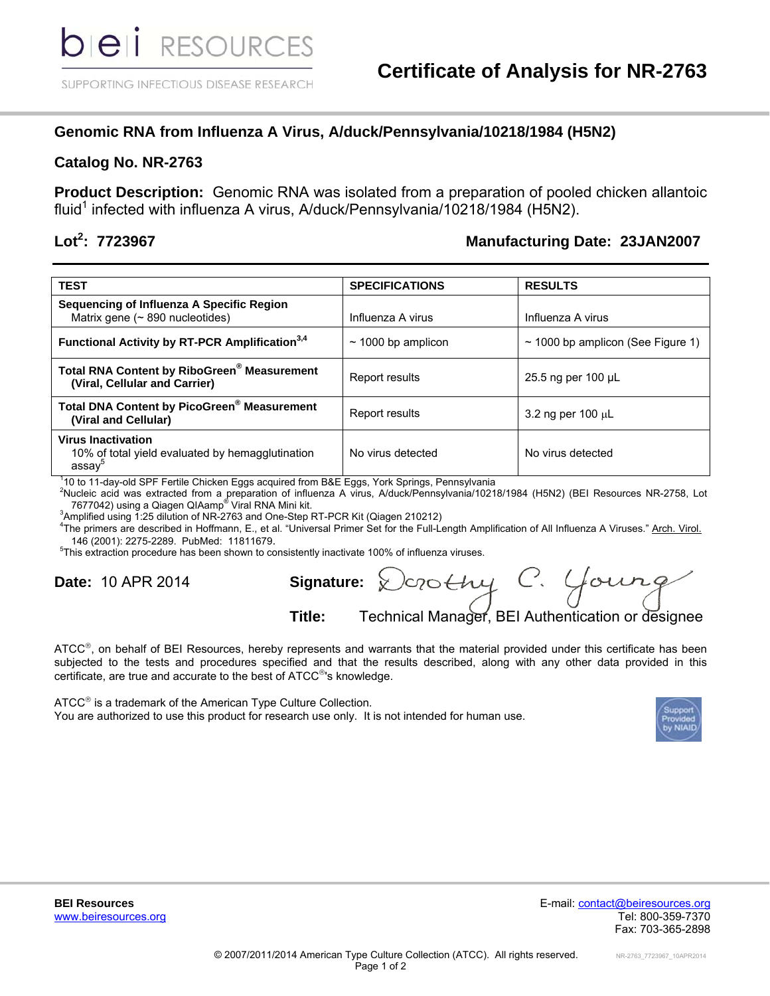## **Genomic RNA from Influenza A Virus, A/duck/Pennsylvania/10218/1984 (H5N2)**

## **Catalog No. NR-2763**

**Product Description:** Genomic RNA was isolated from a preparation of pooled chicken allantoic fluid<sup>1</sup> infected with influenza A virus, A/duck/Pennsylvania/10218/1984 (H5N2).

## Lot<sup>2</sup>: 7723967

## **: 7723967 Manufacturing Date: 23JAN2007**

| <b>TEST</b>                                                                            | <b>SPECIFICATIONS</b>   | <b>RESULTS</b>                         |
|----------------------------------------------------------------------------------------|-------------------------|----------------------------------------|
| Sequencing of Influenza A Specific Region<br>Matrix gene ( $\sim$ 890 nucleotides)     | Influenza A virus       | Influenza A virus                      |
| Functional Activity by RT-PCR Amplification <sup>3,4</sup>                             | $\sim$ 1000 bp amplicon | $\sim$ 1000 bp amplicon (See Figure 1) |
| Total RNA Content by RiboGreen® Measurement<br>(Viral, Cellular and Carrier)           | Report results          | 25.5 ng per 100 µL                     |
| <b>Total DNA Content by PicoGreen® Measurement</b><br>(Viral and Cellular)             | Report results          | 3.2 ng per 100 $\mu$ L                 |
| <b>Virus Inactivation</b><br>10% of total yield evaluated by hemagglutination<br>assay | No virus detected       | No virus detected                      |

<sup>1</sup>10 to 11-day-old SPF Fertile Chicken Eggs acquired from B&E Eggs, York Springs, Pennsylvania<br><sup>2</sup>Nugleje acid was oxtracted from a proporation of influenze A virue A/duck/Pennsylvania/1021

<sup>2</sup>Nucleic acid was extracted from a preparation of influenza A virus, A/duck/Pennsylvania/10218/1984 (H5N2) (BEI Resources NR-2758, Lot<br>7677042) using a Qiagen QIAamp® Viral RNA Mini kit.<br><sup>3</sup>Amplified using 4:25 dilution

3Amplified using 1:25 dilution of NR-2763 and One-Step RT-PCR Kit (Qiagen 210212)

<sup>4</sup>The primers are described in Hoffmann, E., et al. "Universal Primer Set for the Full-Length Amplification of All Influenza A Viruses." Arch. Virol. 146 (2001): 2275-2289. PubMed: 11811679. <sup>5</sup>

<sup>5</sup>This extraction procedure has been shown to consistently inactivate 100% of influenza viruses.

**Date:** 10 APR 2014 **Signature:**

Crothy C. Young **Title:** Technical Manager, BEI Authentication or designee

ATCC®, on behalf of BEI Resources, hereby represents and warrants that the material provided under this certificate has been subjected to the tests and procedures specified and that the results described, along with any other data provided in this certificate, are true and accurate to the best of ATCC<sup>®</sup>'s knowledge.

 $ATCC<sup>®</sup>$  is a trademark of the American Type Culture Collection. You are authorized to use this product for research use only. It is not intended for human use.